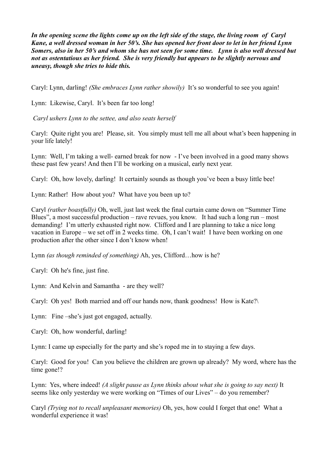*In the opening scene the lights come up on the left side of the stage, the living room of Caryl Kane, a well dressed woman in her 50's. She has opened her front door to let in her friend Lynn Somers, also in her 50's and whom she has not seen for some time. Lynn is also well dressed but not as ostentatious as her friend. She is very friendly but appears to be slightly nervous and uneasy, though she tries to hide this.* 

Caryl: Lynn, darling! *(She embraces Lynn rather showily)* It's so wonderful to see you again!

Lynn: Likewise, Caryl. It's been far too long!

 *Caryl ushers Lynn to the settee, and also seats herself* 

Caryl: Quite right you are! Please, sit. You simply must tell me all about what's been happening in your life lately!

Lynn: Well, I'm taking a well- earned break for now - I've been involved in a good many shows these past few years! And then I'll be working on a musical, early next year.

Caryl: Oh, how lovely, darling! It certainly sounds as though you've been a busy little bee!

Lynn: Rather! How about you? What have you been up to?

Caryl *(rather boastfully)* Oh, well, just last week the final curtain came down on "Summer Time Blues", a most successful production – rave revues, you know. It had such a long run – most demanding! I'm utterly exhausted right now. Clifford and I are planning to take a nice long vacation in Europe – we set off in 2 weeks time. Oh, I can't wait! I have been working on one production after the other since I don't know when!

Lynn *(as though reminded of something)* Ah, yes, Clifford…how is he?

Caryl: Oh he's fine, just fine.

Lynn: And Kelvin and Samantha - are they well?

Caryl: Oh yes! Both married and off our hands now, thank goodness! How is Kate?\

Lynn: Fine –she's just got engaged, actually.

Caryl: Oh, how wonderful, darling!

Lynn: I came up especially for the party and she's roped me in to staying a few days.

Caryl: Good for you! Can you believe the children are grown up already? My word, where has the time gone!?

Lynn: Yes, where indeed! *(A slight pause as Lynn thinks about what she is going to say next)* It seems like only yesterday we were working on "Times of our Lives" – do you remember?

Caryl *(Trying not to recall unpleasant memories)* Oh, yes, how could I forget that one! What a wonderful experience it was!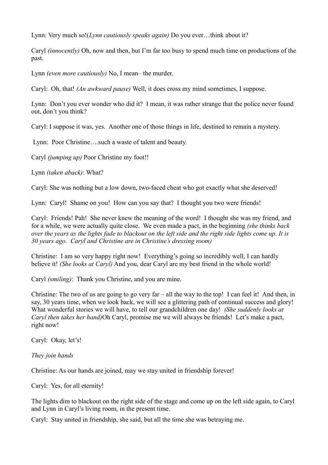Lynn: Very much so!(*Lynn cautiously speaks again)* Do you ever…think about it?

Caryl *(innocently)* Oh, now and then, but I'm far too busy to spend much time on productions of the past.

Lynn *(even more cautiously)* No, I mean– the murder.

Caryl: Oh, that! *(An awkward pause)* Well, it does cross my mind sometimes, I suppose.

Lynn: Don't you ever wonder who did it? I mean, it was rather strange that the police never found out, don't you think?

Caryl: I suppose it was, yes. Another one of those things in life, destined to remain a mystery.

Lynn: Poor Christine….such a waste of talent and beauty.

Caryl *(jumping up)* Poor Christine my foot!!

Lynn *(taken aback)*: What?

Caryl: She was nothing but a low down, two-faced cheat who got exactly what she deserved!

Lynn: Caryl! Shame on you! How can you say that? I thought you two were friends!

Caryl: Friends! Pah! She never knew the meaning of the word! I thought she was my friend, and for a while, we were actually quite close. We even made a pact, in the beginning *(she thinks back over the years as the lights fade to blackout on the left side and the right side lights come up. It is 30 years ago. Caryl and Christine are in Christine's dressing room)*

Christine: I am so very happy right now! Everything's going so incredibly well, I can hardly believe it! *(She looks at Caryl)* And you, dear Caryl are my best friend in the whole world!

Caryl *(smiling)*: Thank you Christine, and you are mine.

Christine: The two of us are going to go very far – all the way to the top! I can feel it! And then, in say, 30 years time, when we look back, we will see a glittering path of continual success and glory! What wonderful stories we will have, to tell our grandchildren one day! *(She suddenly looks at Caryl then takes her hand)*Oh Caryl, promise me we will always be friends! Let's make a pact, right now!

Caryl: Okay, let's!

*They join hands*

Christine: As our hands are joined, may we stay united in friendship forever!

Caryl: Yes, for all eternity!

The lights dim to blackout on the right side of the stage and come up on the left side again, to Caryl and Lynn in Caryl's living room, in the present time.

Caryl: Stay united in friendship, she said, but all the time she was betraying me.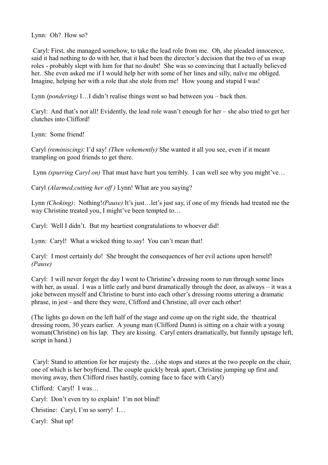Lynn: Oh? How so?

 Caryl: First, she managed somehow, to take the lead role from me. Oh, she pleaded innocence, said it had nothing to do with her, that it had been the director's decision that the two of us swap roles - probably slept with him for that no doubt! She was so convincing that I actually believed her. She even asked me if I would help her with some of her lines and silly, naïve me obliged. Imagine, helping her with a role that she stole from me! How young and stupid I was!

Lynn *(pondering)* I…I didn't realise things went so bad between you – back then.

Caryl: And that's not all! Evidently, the lead role wasn't enough for her – she also tried to get her clutches into Clifford!

Lynn: Some friend!

Caryl *(reminiscing)*: I'd say! *(Then vehemently)* She wanted it all you see, even if it meant trampling on good friends to get there.

Lynn *(spurring Caryl on)* That must have hurt you terribly. I can well see why you might've…

Caryl *(Alarmed,cutting her off )* Lynn! What are you saying?

Lynn *(Choking)*: Nothing!*(Pause)* It's just…let's just say, if one of my friends had treated me the way Christine treated you, I might've been tempted to...

Caryl: Well I didn't. But my heartiest congratulations to whoever did!

Lynn: Caryl! What a wicked thing to say! You can't mean that!

Caryl: I most certainly do! She brought the consequences of her evil actions upon herself! *(Pause)*

Caryl: I will never forget the day I went to Christine's dressing room to run through some lines with her, as usual. I was a little early and burst dramatically through the door, as always – it was a joke between myself and Christine to burst into each other's dressing rooms uttering a dramatic phrase, in jest - and there they were, Clifford and Christine, all over each other!

(The lights go down on the left half of the stage and come up on the right side, the theatrical dressing room, 30 years earlier. A young man (Clifford Dunn) is sitting on a chair with a young woman(Christine) on his lap. They are kissing. Caryl enters dramatically, but funnily upstage left, script in hand.)

 Caryl: Stand to attention for her majesty the…(she stops and stares at the two people on the chair, one of which is her boyfriend. The couple quickly break apart, Christine jumping up first and moving away, then Clifford rises hastily, coming face to face with Caryl)

Clifford: Caryl! I was…

Caryl: Don't even try to explain! I'm not blind!

Christine: Caryl, I'm so sorry! I…

Caryl: Shut up!